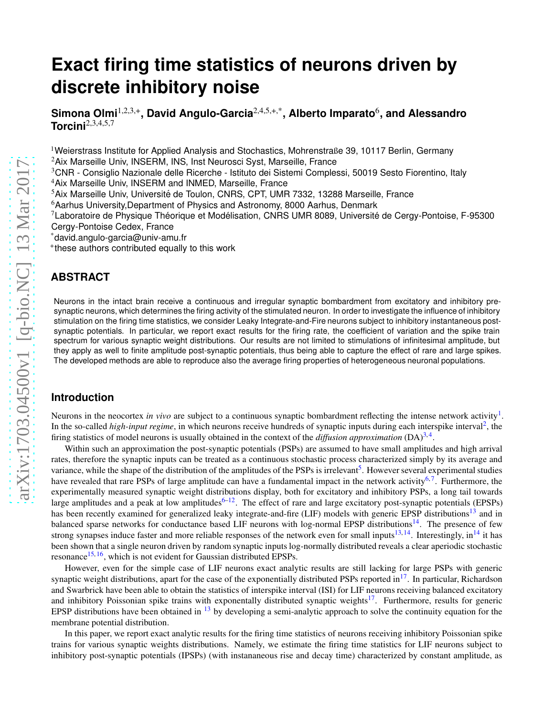# **Exact firing time statistics of neurons driven by discrete inhibitory noise**

**Simona Olmi**1,2,3,+**, David Angulo-Garcia**2,4,5,+,\***, Alberto Imparato**<sup>6</sup> **, and Alessandro Torcini**2,3,4,5,7

<sup>1</sup>Weierstrass Institute for Applied Analysis and Stochastics, Mohrenstraße 39, 10117 Berlin, Germany <sup>2</sup>Aix Marseille Univ, INSERM, INS, Inst Neurosci Syst, Marseille, France

<sup>3</sup>CNR - Consiglio Nazionale delle Ricerche - Istituto dei Sistemi Complessi, 50019 Sesto Fiorentino, Italy

<sup>4</sup>Aix Marseille Univ, INSERM and INMED, Marseille, France

<sup>5</sup>Aix Marseille Univ, Université de Toulon, CNRS, CPT, UMR 7332, 13288 Marseille, France

<sup>6</sup> Aarhus University, Department of Physics and Astronomy, 8000 Aarhus, Denmark

 $7$ Laboratoire de Physique Théorique et Modélisation, CNRS UMR 8089, Université de Cergy-Pontoise, F-95300 Cergy-Pontoise Cedex, France

\*david.angulo-garcia@univ-amu.fr

+ these authors contributed equally to this work

## **ABSTRACT**

Neurons in the intact brain receive a continuous and irregular synaptic bombardment from excitatory and inhibitory presynaptic neurons, which determines the firing activity of the stimulated neuron. In order to investigate the influence of inhibitory stimulation on the firing time statistics, we consider Leaky Integrate-and-Fire neurons subject to inhibitory instantaneous postsynaptic potentials. In particular, we report exact results for the firing rate, the coefficient of variation and the spike train spectrum for various synaptic weight distributions. Our results are not limited to stimulations of infinitesimal amplitude, but they apply as well to finite amplitude post-synaptic potentials, thus being able to capture the effect of rare and large spikes. The developed methods are able to reproduce also the average firing properties of heterogeneous neuronal populations.

## **Introduction**

Neurons in the neocortex *in vivo* are subject to a continuous synaptic bombardment reflecting the intense network activity<sup>[1](#page-16-0)</sup>. In the so-called *high-input regime*, in which neurons receive hundreds of synaptic inputs during each interspike interval<sup>[2](#page-16-1)</sup>, the firing statistics of model neurons is usually obtained in the context of the *diffusion approximation*  $(DA)^{3,4}$  $(DA)^{3,4}$  $(DA)^{3,4}$  $(DA)^{3,4}$ .

Within such an approximation the post-synaptic potentials (PSPs) are assumed to have small amplitudes and high arrival rates, therefore the synaptic inputs can be treated as a continuous stochastic process characterized simply by its average and variance, while the shape of the distribution of the amplitudes of the PSPs is irrelevant<sup>[5](#page-16-4)</sup>. However several experimental studies have revealed that rare PSPs of large amplitude can have a fundamental impact in the network activity<sup>[6,](#page-16-5)[7](#page-16-6)</sup>. Furthermore, the experimentally measured synaptic weight distributions display, both for excitatory and inhibitory PSPs, a long tail towards large amplitudes and a peak at low amplitudes<sup> $6-12$  $6-12$ </sup>. The effect of rare and large excitatory post-synaptic potentials (EPSPs) has been recently examined for generalized leaky integrate-and-fire (LIF) models with generic EPSP distributions<sup>[13](#page-16-8)</sup> and in balanced sparse networks for conductance based LIF neurons with log-normal EPSP distributions<sup>[14](#page-16-9)</sup>. The presence of few strong synapses induce faster and more reliable responses of the network even for small inputs<sup>[13,](#page-16-8)[14](#page-16-9)</sup>. Interestingly, in<sup>14</sup> it has been shown that a single neuron driven by random synaptic inputs log-normally distributed reveals a clear aperiodic stochastic resonance<sup>[15,](#page-16-10)[16](#page-16-11)</sup>, which is not evident for Gaussian distributed EPSPs.

However, even for the simple case of LIF neurons exact analytic results are still lacking for large PSPs with generic synaptic weight distributions, apart for the case of the exponentially distributed PSPs reported in<sup>[17](#page-16-12)</sup>. In particular, Richardson and Swarbrick have been able to obtain the statistics of interspike interval (ISI) for LIF neurons receiving balanced excitatory and inhibitory Poissonian spike trains with exponentally distributed synaptic weights<sup>[17](#page-16-12)</sup>. Furthermore, results for generic EPSP distributions have been obtained in  $^{13}$  $^{13}$  $^{13}$  by developing a semi-analytic approach to solve the continuity equation for the membrane potential distribution.

In this paper, we report exact analytic results for the firing time statistics of neurons receiving inhibitory Poissonian spike trains for various synaptic weights distributions. Namely, we estimate the firing time statistics for LIF neurons subject to inhibitory post-synaptic potentials (IPSPs) (with instananeous rise and decay time) characterized by constant amplitude, as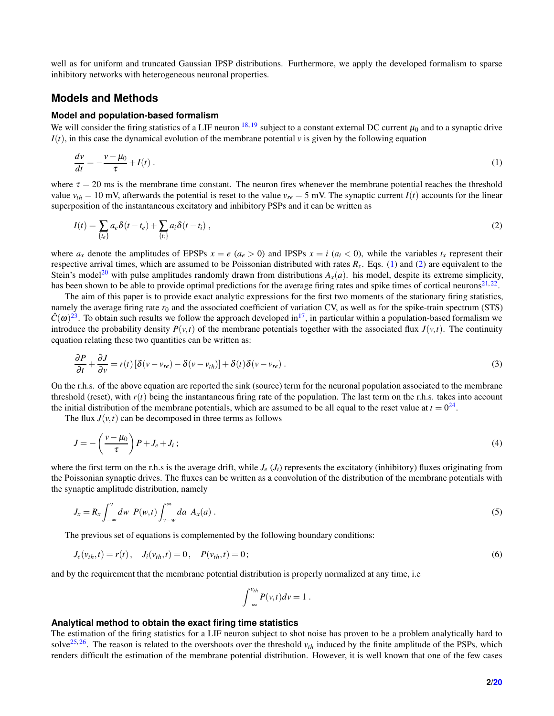well as for uniform and truncated Gaussian IPSP distributions. Furthermore, we apply the developed formalism to sparse inhibitory networks with heterogeneous neuronal properties.

## **Models and Methods**

#### **Model and population-based formalism**

We will consider the firing statistics of a LIF neuron  $^{18,19}$  $^{18,19}$  $^{18,19}$  $^{18,19}$  subject to a constant external DC current  $\mu_0$  and to a synaptic drive  $I(t)$ , in this case the dynamical evolution of the membrane potential  $\nu$  is given by the following equation

<span id="page-1-1"></span><span id="page-1-0"></span>
$$
\frac{dv}{dt} = -\frac{v - \mu_0}{\tau} + I(t) \tag{1}
$$

where  $\tau = 20$  ms is the membrane time constant. The neuron fires whenever the membrane potential reaches the threshold value  $v_{th} = 10$  mV, afterwards the potential is reset to the value  $v_{re} = 5$  mV. The synaptic current  $I(t)$  accounts for the linear superposition of the instantaneous excitatory and inhibitory PSPs and it can be written as

$$
I(t) = \sum_{\{t_e\}} a_e \delta(t - t_e) + \sum_{\{t_i\}} a_i \delta(t - t_i) , \qquad (2)
$$

where  $a_x$  denote the amplitudes of EPSPs  $x = e$  ( $a_e > 0$ ) and IPSPs  $x = i$  ( $a_i < 0$ ), while the variables  $t_x$  represent their respective arrival times, which are assumed to be Poissonian distributed with rates  $R<sub>x</sub>$ . Eqs. [\(1\)](#page-1-0) and [\(2\)](#page-1-1) are equivalent to the Stein's model<sup>[20](#page-16-15)</sup> with pulse amplitudes randomly drawn from distributions  $A_x(a)$ . his model, despite its extreme simplicity, has been shown to be able to provide optimal predictions for the average firing rates and spike times of cortical neurons $^{21,22}$  $^{21,22}$  $^{21,22}$  $^{21,22}$ .

The aim of this paper is to provide exact analytic expressions for the first two moments of the stationary firing statistics, namely the average firing rate  $r_0$  and the associated coefficient of variation CV, as well as for the spike-train spectrum (STS)  $\hat{C}(\omega)^{23}$  $\hat{C}(\omega)^{23}$  $\hat{C}(\omega)^{23}$ . To obtain such results we follow the approach developed in<sup>[17](#page-16-12)</sup>, in particular within a population-based formalism we introduce the probability density  $P(v,t)$  of the membrane potentials together with the associated flux  $J(v,t)$ . The continuity equation relating these two quantities can be written as:

<span id="page-1-4"></span>
$$
\frac{\partial P}{\partial t} + \frac{\partial J}{\partial v} = r(t) \left[ \delta(v - v_{re}) - \delta(v - v_{th}) \right] + \delta(t) \delta(v - v_{re}) \,. \tag{3}
$$

On the r.h.s. of the above equation are reported the sink (source) term for the neuronal population associated to the membrane threshold (reset), with  $r(t)$  being the instantaneous firing rate of the population. The last term on the r.h.s. takes into account the initial distribution of the membrane potentials, which are assumed to be all equal to the reset value at  $t = 0^{24}$  $t = 0^{24}$  $t = 0^{24}$ .

The flux  $J(v,t)$  can be decomposed in three terms as follows

$$
J = -\left(\frac{v - \mu_0}{\tau}\right)P + J_e + J_i ; \tag{4}
$$

where the first term on the r.h.s is the average drift, while  $J_e$  ( $J_i$ ) represents the excitatory (inhibitory) fluxes originating from the Poissonian synaptic drives. The fluxes can be written as a convolution of the distribution of the membrane potentials with the synaptic amplitude distribution, namely

$$
J_x = R_x \int_{-\infty}^v dw \ P(w,t) \int_{v-w}^\infty da \ A_x(a) \ . \tag{5}
$$

The previous set of equations is complemented by the following boundary conditions:

$$
J_e(v_{th},t) = r(t), \quad J_i(v_{th},t) = 0, \quad P(v_{th},t) = 0;
$$
\n(6)

and by the requirement that the membrane potential distribution is properly normalized at any time, i.e

<span id="page-1-3"></span><span id="page-1-2"></span>
$$
\int_{-\infty}^{v_{th}} P(v,t) dv = 1.
$$

#### **Analytical method to obtain the exact firing time statistics**

The estimation of the firing statistics for a LIF neuron subject to shot noise has proven to be a problem analytically hard to solve<sup>[25,](#page-16-20)[26](#page-17-0)</sup>. The reason is related to the overshoots over the threshold  $v_{th}$  induced by the finite amplitude of the PSPs, which renders difficult the estimation of the membrane potential distribution. However, it is well known that one of the few cases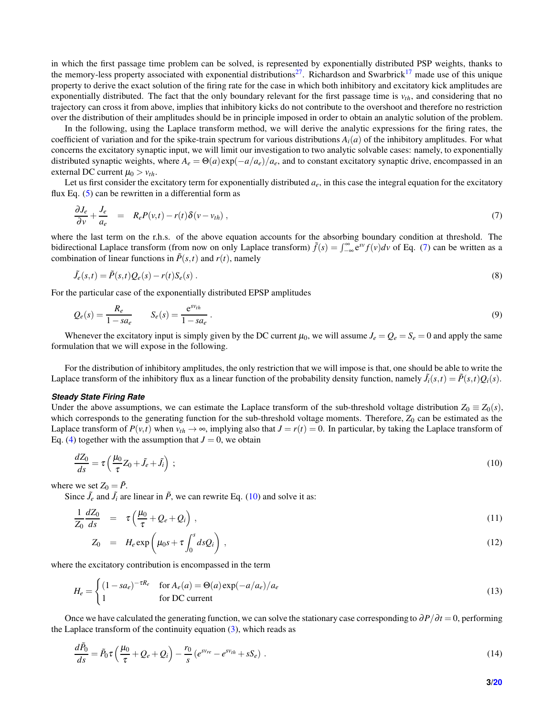in which the first passage time problem can be solved, is represented by exponentially distributed PSP weights, thanks to the memory-less property associated with exponential distributions<sup>[27](#page-17-1)</sup>. Richardson and Swarbrick<sup>[17](#page-16-12)</sup> made use of this unique property to derive the exact solution of the firing rate for the case in which both inhibitory and excitatory kick amplitudes are exponentially distributed. The fact that the only boundary relevant for the first passage time is  $v_{th}$ , and considering that no trajectory can cross it from above, implies that inhibitory kicks do not contribute to the overshoot and therefore no restriction over the distribution of their amplitudes should be in principle imposed in order to obtain an analytic solution of the problem.

In the following, using the Laplace transform method, we will derive the analytic expressions for the firing rates, the coefficient of variation and for the spike-train spectrum for various distributions  $A_i(a)$  of the inhibitory amplitudes. For what concerns the excitatory synaptic input, we will limit our investigation to two analytic solvable cases: namely, to exponentially distributed synaptic weights, where  $A_e = \Theta(a) \exp(-a/a_e)/a_e$ , and to constant excitatory synaptic drive, encompassed in an external DC current  $\mu_0 > v_{th}$ .

Let us first consider the excitatory term for exponentially distributed *ae*, in this case the integral equation for the excitatory flux Eq.  $(5)$  can be rewritten in a differential form as

<span id="page-2-0"></span>
$$
\frac{\partial J_e}{\partial v} + \frac{J_e}{a_e} = R_e P(v, t) - r(t) \delta(v - v_{th}), \qquad (7)
$$

where the last term on the r.h.s. of the above equation accounts for the absorbing boundary condition at threshold. The bidirectional Laplace transform (from now on only Laplace transform)  $\tilde{f}(s) = \int_{-\infty}^{\infty} e^{sv} f(v) dv$  of Eq. [\(7\)](#page-2-0) can be written as a combination of linear functions in  $\tilde{P}(s,t)$  and  $r(t)$ , namely

$$
\tilde{J}_e(s,t) = \tilde{P}(s,t)Q_e(s) - r(t)S_e(s) \tag{8}
$$

For the particular case of the exponentially distributed EPSP amplitudes

$$
Q_e(s) = \frac{R_e}{1 - sa_e} \qquad S_e(s) = \frac{e^{sv_{th}}}{1 - sa_e} \,. \tag{9}
$$

Whenever the excitatory input is simply given by the DC current  $\mu_0$ , we will assume  $J_e = Q_e = S_e = 0$  and apply the same formulation that we will expose in the following.

For the distribution of inhibitory amplitudes, the only restriction that we will impose is that, one should be able to write the Laplace transform of the inhibitory flux as a linear function of the probability density function, namely  $\tilde{J}_i(s,t) = \tilde{P}(s,t)Q_i(s)$ .

#### *Steady State Firing Rate*

Under the above assumptions, we can estimate the Laplace transform of the sub-threshold voltage distribution  $Z_0 \equiv Z_0(s)$ , which corresponds to the generating function for the sub-threshold voltage moments. Therefore,  $Z_0$  can be estimated as the Laplace transform of  $P(v,t)$  when  $v_{th} \to \infty$ , implying also that  $J = r(t) = 0$ . In particular, by taking the Laplace transform of Eq. [\(4\)](#page-1-3) together with the assumption that  $J = 0$ , we obtain

<span id="page-2-1"></span>
$$
\frac{dZ_0}{ds} = \tau \left( \frac{\mu_0}{\tau} Z_0 + \tilde{J}_e + \tilde{J}_i \right) ; \tag{10}
$$

where we set  $Z_0 = \tilde{P}$ .

Since  $\tilde{J}_e$  and  $\tilde{J}_i$  are linear in  $\tilde{P}$ , we can rewrite Eq. [\(10\)](#page-2-1) and solve it as:

<span id="page-2-2"></span>
$$
\frac{1}{Z_0}\frac{dZ_0}{ds} = \tau\left(\frac{\mu_0}{\tau} + Q_e + Q_i\right),\tag{11}
$$

$$
Z_0 = H_e \exp\left(\mu_0 s + \tau \int_0^s ds \mathcal{Q}_i\right), \qquad (12)
$$

where the excitatory contribution is encompassed in the term

$$
H_e = \begin{cases} (1 - sa_e)^{-\tau R_e} & \text{for } A_e(a) = \Theta(a) \exp(-a/a_e) / a_e \\ 1 & \text{for DC current} \end{cases}
$$
(13)

Once we have calculated the generating function, we can solve the stationary case corresponding to ∂*P*/∂*t* = 0, performing the Laplace transform of the continuity equation  $(3)$ , which reads as

<span id="page-2-3"></span>
$$
\frac{d\tilde{P}_0}{ds} = \tilde{P}_0 \tau \left(\frac{\mu_0}{\tau} + Q_e + Q_i\right) - \frac{r_0}{s} \left(e^{s v_{re}} - e^{s v_{th}} + s S_e\right) \,. \tag{14}
$$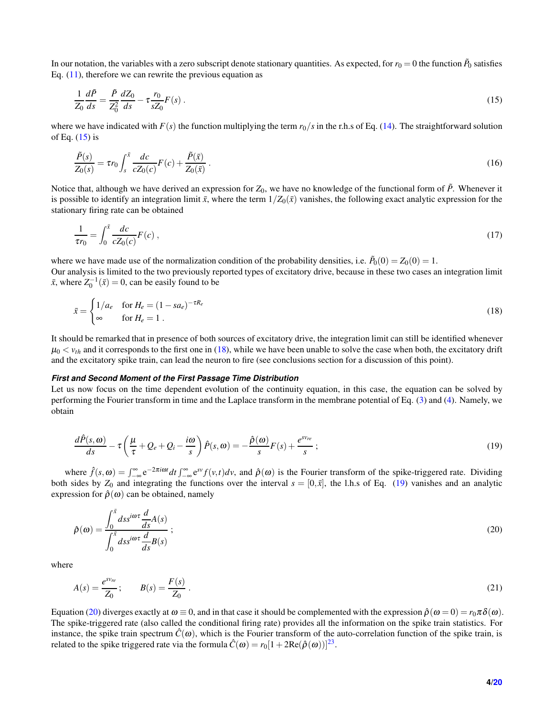In our notation, the variables with a zero subscript denote stationary quantities. As expected, for  $r_0=0$  the function  $\tilde P_0$  satisfies Eq.  $(11)$ , therefore we can rewrite the previous equation as

<span id="page-3-0"></span>
$$
\frac{1}{Z_0}\frac{d\tilde{P}}{ds} = \frac{\tilde{P}}{Z_0^2}\frac{dZ_0}{ds} - \tau \frac{r_0}{sZ_0}F(s) \,. \tag{15}
$$

where we have indicated with  $F(s)$  the function multiplying the term  $r_0/s$  in the r.h.s of Eq. [\(14\)](#page-2-3). The straightforward solution of Eq.  $(15)$  is

$$
\frac{\tilde{P}(s)}{Z_0(s)} = \tau r_0 \int_s^{\bar{x}} \frac{dc}{cZ_0(c)} F(c) + \frac{\tilde{P}(\bar{x})}{Z_0(\bar{x})} . \tag{16}
$$

Notice that, although we have derived an expression for  $Z_0$ , we have no knowledge of the functional form of  $\tilde{P}$ . Whenever it is possible to identify an integration limit  $\bar{x}$ , where the term  $1/Z_0(\bar{x})$  vanishes, the following exact analytic expression for the stationary firing rate can be obtained

<span id="page-3-4"></span>
$$
\frac{1}{\tau r_0} = \int_0^{\bar{x}} \frac{dc}{cZ_0(c)} F(c) , \qquad (17)
$$

where we have made use of the normalization condition of the probability densities, i.e.  $\tilde{P}_0(0) = Z_0(0) = 1$ .

Our analysis is limited to the two previously reported types of excitatory drive, because in these two cases an integration limit  $\bar{x}$ , where  $Z_0^{-1}(\bar{x}) = 0$ , can be easily found to be

<span id="page-3-1"></span>
$$
\bar{x} = \begin{cases} 1/a_e & \text{for } H_e = (1 - sa_e)^{-\tau R_e} \\ \infty & \text{for } H_e = 1 \end{cases}
$$
 (18)

It should be remarked that in presence of both sources of excitatory drive, the integration limit can still be identified whenever  $\mu_0 < v_{th}$  and it corresponds to the first one in [\(18\)](#page-3-1), while we have been unable to solve the case when both, the excitatory drift and the excitatory spike train, can lead the neuron to fire (see conclusions section for a discussion of this point).

#### *First and Second Moment of the First Passage Time Distribution*

<span id="page-3-2"></span>Let us now focus on the time dependent evolution of the continuity equation, in this case, the equation can be solved by performing the Fourier transform in time and the Laplace transform in the membrane potential of Eq. [\(3\)](#page-1-4) and [\(4\)](#page-1-3). Namely, we obtain

$$
\frac{d\hat{P}(s,\omega)}{ds} - \tau \left(\frac{\mu}{\tau} + Q_e + Q_i - \frac{i\omega}{s}\right) \hat{P}(s,\omega) = -\frac{\hat{P}(\omega)}{s} F(s) + \frac{e^{sv_{re}}}{s};
$$
\n(19)

where  $\hat{f}(s, \omega) = \int_{-\infty}^{\infty} e^{-2\pi i \omega t} dt \int_{-\infty}^{\infty} e^{sv} f(v, t) dv$ , and  $\hat{\rho}(\omega)$  is the Fourier transform of the spike-triggered rate. Dividing both sides by  $Z_0$  and integrating the functions over the interval  $s = [0, \bar{x}]$ , the l.h.s of Eq. [\(19\)](#page-3-2) vanishes and an analytic expression for  $\hat{\rho}(\omega)$  can be obtained, namely

<span id="page-3-3"></span>
$$
\hat{\rho}(\omega) = \frac{\int_0^{\bar{x}} ds s^{i\omega \tau} \frac{d}{ds} A(s)}{\int_0^{\bar{x}} ds s^{i\omega \tau} \frac{d}{ds} B(s)}; \tag{20}
$$

where

$$
A(s) = \frac{e^{s v_{re}}}{Z_0}; \qquad B(s) = \frac{F(s)}{Z_0} \,. \tag{21}
$$

Equation [\(20\)](#page-3-3) diverges exactly at  $\omega \equiv 0$ , and in that case it should be complemented with the expression  $\hat{\rho}(\omega = 0) = r_0 \pi \delta(\omega)$ . The spike-triggered rate (also called the conditional firing rate) provides all the information on the spike train statistics. For instance, the spike train spectrum  $\hat{C}(\omega)$ , which is the Fourier transform of the auto-correlation function of the spike train, is related to the spike triggered rate via the formula  $\hat{C}(\omega) = r_0[1 + 2\text{Re}(\hat{\rho}(\omega))]^{23}$  $\hat{C}(\omega) = r_0[1 + 2\text{Re}(\hat{\rho}(\omega))]^{23}$  $\hat{C}(\omega) = r_0[1 + 2\text{Re}(\hat{\rho}(\omega))]^{23}$ .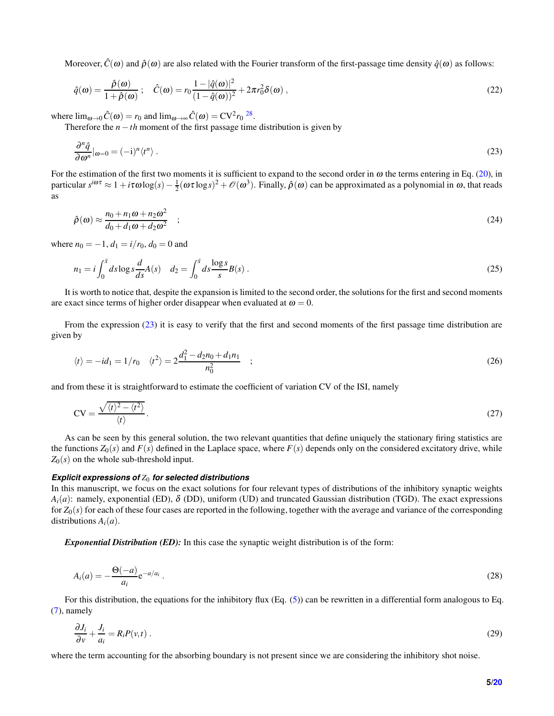Moreover,  $\hat{C}(\omega)$  and  $\hat{\rho}(\omega)$  are also related with the Fourier transform of the first-passage time density  $\hat{q}(\omega)$  as follows:

<span id="page-4-2"></span>
$$
\hat{q}(\boldsymbol{\omega}) = \frac{\hat{\rho}(\boldsymbol{\omega})}{1 + \hat{\rho}(\boldsymbol{\omega})}; \quad \hat{C}(\boldsymbol{\omega}) = r_0 \frac{1 - |\hat{q}(\boldsymbol{\omega})|^2}{(1 - \hat{q}(\boldsymbol{\omega}))^2} + 2\pi r_0^2 \delta(\boldsymbol{\omega}), \tag{22}
$$

where  $\lim_{\omega \to 0} \hat{C}(\omega) = r_0$  and  $\lim_{\omega \to \infty} \hat{C}(\omega) = CV^2 r_0^{28}$  $\lim_{\omega \to \infty} \hat{C}(\omega) = CV^2 r_0^{28}$  $\lim_{\omega \to \infty} \hat{C}(\omega) = CV^2 r_0^{28}$ .

Therefore the *n*−*th* moment of the first passage time distribution is given by

<span id="page-4-0"></span>
$$
\frac{\partial^n \hat{q}}{\partial \omega^n}|_{\omega=0} = (-i)^n \langle t^n \rangle \,. \tag{23}
$$

For the estimation of the first two moments it is sufficient to expand to the second order in  $\omega$  the terms entering in Eq. [\(20\)](#page-3-3), in particular  $s^{i\omega\tau} \approx 1 + i\tau\omega\log(s) - \frac{1}{2}(\omega\tau\log s)^2 + \mathcal{O}(\omega^3)$ . Finally,  $\hat{\rho}(\omega)$  can be approximated as a polynomial in  $\omega$ , that reads as

$$
\hat{\rho}(\omega) \approx \frac{n_0 + n_1 \omega + n_2 \omega^2}{d_0 + d_1 \omega + d_2 \omega^2} \quad ; \tag{24}
$$

where  $n_0 = -1$ ,  $d_1 = i/r_0$ ,  $d_0 = 0$  and

$$
n_1 = i \int_0^{\bar{x}} ds \log s \frac{d}{ds} A(s) \quad d_2 = \int_0^{\bar{x}} ds \frac{\log s}{s} B(s) \,. \tag{25}
$$

It is worth to notice that, despite the expansion is limited to the second order, the solutions for the first and second moments are exact since terms of higher order disappear when evaluated at  $\omega = 0$ .

From the expression [\(23\)](#page-4-0) it is easy to verify that the first and second moments of the first passage time distribution are given by

<span id="page-4-1"></span>
$$
\langle t \rangle = -id_1 = 1/r_0 \quad \langle t^2 \rangle = 2 \frac{d_1^2 - d_2 n_0 + d_1 n_1}{n_0^2} \quad ; \tag{26}
$$

and from these it is straightforward to estimate the coefficient of variation CV of the ISI, namely

<span id="page-4-3"></span>
$$
CV = \frac{\sqrt{\langle t \rangle^2 - \langle t^2 \rangle}}{\langle t \rangle}.
$$
\n(27)

As can be seen by this general solution, the two relevant quantities that define uniquely the stationary firing statistics are the functions  $Z_0(s)$  and  $F(s)$  defined in the Laplace space, where  $F(s)$  depends only on the considered excitatory drive, while  $Z_0(s)$  on the whole sub-threshold input.

#### *Explicit expressions of Z*<sup>0</sup> *for selected distributions*

In this manuscript, we focus on the exact solutions for four relevant types of distributions of the inhibitory synaptic weights  $A_i(a)$ : namely, exponential (ED),  $\delta$  (DD), uniform (UD) and truncated Gaussian distribution (TGD). The exact expressions for  $Z_0(s)$  for each of these four cases are reported in the following, together with the average and variance of the corresponding distributions *Ai*(*a*).

*Exponential Distribution (ED):* In this case the synaptic weight distribution is of the form:

$$
A_i(a) = -\frac{\Theta(-a)}{a_i} e^{-a/a_i} \,. \tag{28}
$$

For this distribution, the equations for the inhibitory flux (Eq. [\(5\)](#page-1-2)) can be rewritten in a differential form analogous to Eq. [\(7\)](#page-2-0), namely

$$
\frac{\partial J_i}{\partial v} + \frac{J_i}{a_i} = R_i P(v, t) \tag{29}
$$

where the term accounting for the absorbing boundary is not present since we are considering the inhibitory shot noise.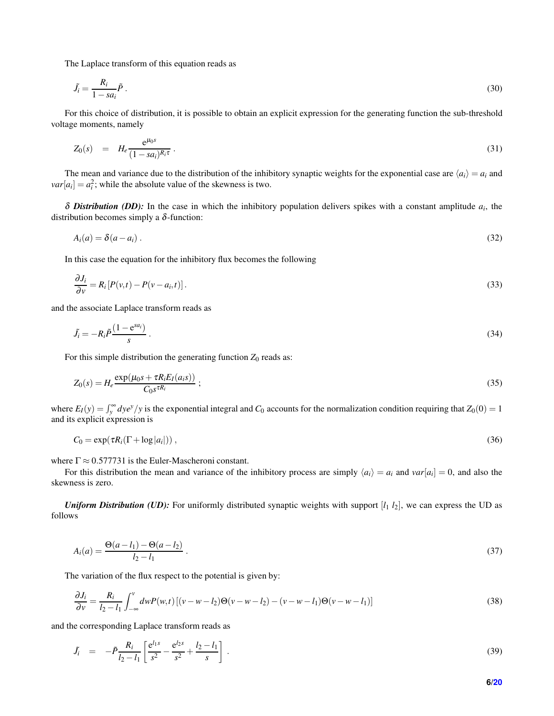The Laplace transform of this equation reads as

$$
\tilde{J}_i = \frac{R_i}{1 - sa_i} \tilde{P} \,. \tag{30}
$$

For this choice of distribution, it is possible to obtain an explicit expression for the generating function the sub-threshold voltage moments, namely

$$
Z_0(s) = H_e \frac{e^{\mu_0 s}}{(1 - s a_i)^{R_i \tau}}.
$$
\n
$$
(31)
$$

The mean and variance due to the distribution of the inhibitory synaptic weights for the exponential case are  $\langle a_i \rangle = a_i$  and  $var[a_i] = a_i^2$ ; while the absolute value of the skewness is two.

<sup>δ</sup> *Distribution (DD):* In the case in which the inhibitory population delivers spikes with a constant amplitude *a<sup>i</sup>* , the distribution becomes simply a  $\delta$ -function:

$$
A_i(a) = \delta(a - a_i). \tag{32}
$$

In this case the equation for the inhibitory flux becomes the following

$$
\frac{\partial J_i}{\partial v} = R_i \left[ P(v, t) - P(v - a_i, t) \right]. \tag{33}
$$

and the associate Laplace transform reads as

$$
\tilde{J}_i = -R_i \tilde{P} \frac{(1 - e^{sa_i})}{s} \tag{34}
$$

For this simple distribution the generating function  $Z_0$  reads as:

$$
Z_0(s) = H_e \frac{\exp(\mu_0 s + \tau R_i E_I(a_i s))}{C_0 s^{\tau R_i}} \tag{35}
$$

where  $E_I(y) = \int_y^\infty dy e^y/y$  is the exponential integral and  $C_0$  accounts for the normalization condition requiring that  $Z_0(0) = 1$ and its explicit expression is

$$
C_0 = \exp(\tau R_i(\Gamma + \log|a_i|)), \qquad (36)
$$

where  $\Gamma \approx 0.577731$  is the Euler-Mascheroni constant.

For this distribution the mean and variance of the inhibitory process are simply  $\langle a_i \rangle = a_i$  and  $var[a_i] = 0$ , and also the skewness is zero.

*Uniform Distribution (UD):* For uniformly distributed synaptic weights with support  $[l_1 \, l_2]$ , we can express the UD as follows

$$
A_i(a) = \frac{\Theta(a - l_1) - \Theta(a - l_2)}{l_2 - l_1} \,. \tag{37}
$$

The variation of the flux respect to the potential is given by:

$$
\frac{\partial J_i}{\partial v} = \frac{R_i}{l_2 - l_1} \int_{-\infty}^{v} dw P(w, t) \left[ (v - w - l_2) \Theta(v - w - l_2) - (v - w - l_1) \Theta(v - w - l_1) \right] \tag{38}
$$

and the corresponding Laplace transform reads as

$$
\tilde{J}_i = -\tilde{P} \frac{R_i}{l_2 - l_1} \left[ \frac{e^{l_1 s}}{s^2} - \frac{e^{l_2 s}}{s^2} + \frac{l_2 - l_1}{s} \right].
$$
\n(39)

**6[/20](#page-19-0)**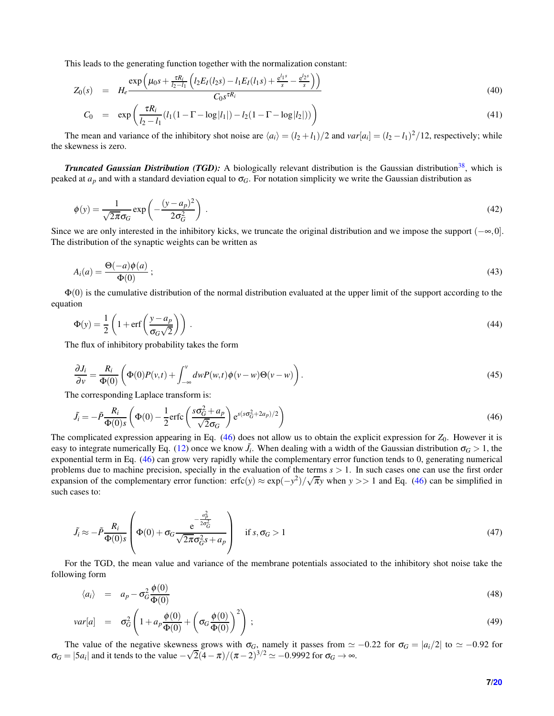This leads to the generating function together with the normalization constant:

$$
Z_0(s) = H_e \frac{\exp\left(\mu_0 s + \frac{\tau R_i}{l_2 - l_1} \left(l_2 E_I(l_2 s) - l_1 E_I(l_1 s) + \frac{e^{l_1 s}}{s} - \frac{e^{l_2 s}}{s}\right)\right)}{C_0 s^{\tau R_i}}
$$
(40)

$$
C_0 = \exp\left(\frac{\tau R_i}{l_2 - l_1} (l_1 (1 - \Gamma - \log|l_1|) - l_2 (1 - \Gamma - \log|l_2|))\right)
$$
\n(41)

The mean and variance of the inhibitory shot noise are  $\langle a_i \rangle = (l_2 + l_1)/2$  and  $var[a_i] = (l_2 - l_1)^2/12$ , respectively; while the skewness is zero.

*Truncated Gaussian Distribution (TGD):* A biologically relevant distribution is the Gaussian distribution<sup>[38](#page-17-3)</sup>, which is peaked at  $a_p$  and with a standard deviation equal to  $\sigma_G$ . For notation simplicity we write the Gaussian distribution as

$$
\phi(y) = \frac{1}{\sqrt{2\pi}\sigma_G} \exp\left(-\frac{(y - a_p)^2}{2\sigma_G^2}\right) \,. \tag{42}
$$

Since we are only interested in the inhibitory kicks, we truncate the original distribution and we impose the support  $(-\infty, 0]$ . The distribution of the synaptic weights can be written as

$$
A_i(a) = \frac{\Theta(-a)\phi(a)}{\Phi(0)} \tag{43}
$$

 $\Phi(0)$  is the cumulative distribution of the normal distribution evaluated at the upper limit of the support according to the equation

$$
\Phi(y) = \frac{1}{2} \left( 1 + \text{erf}\left(\frac{y - a_p}{\sigma_G \sqrt{2}}\right) \right) \,. \tag{44}
$$

The flux of inhibitory probability takes the form

$$
\frac{\partial J_i}{\partial v} = \frac{R_i}{\Phi(0)} \left( \Phi(0) P(v, t) + \int_{-\infty}^v dw P(w, t) \phi(v - w) \Theta(v - w) \right). \tag{45}
$$

The corresponding Laplace transform is:

<span id="page-6-0"></span>
$$
\tilde{J}_i = -\tilde{P}\frac{R_i}{\Phi(0)s} \left(\Phi(0) - \frac{1}{2}\text{erfc}\left(\frac{s\sigma_G^2 + a_p}{\sqrt{2}\sigma_G}\right) e^{s(s\sigma_G^2 + 2a_p)/2}\right)
$$
\n(46)

The complicated expression appearing in Eq.  $(46)$  does not allow us to obtain the explicit expression for  $Z_0$ . However it is easy to integrate numerically Eq. [\(12\)](#page-2-2) once we know  $\tilde{J}_i$ . When dealing with a width of the Gaussian distribution  $\sigma_G > 1$ , the exponential term in Eq. [\(46\)](#page-6-0) can grow very rapidly while the complementary error function tends to 0, generating numerical problems due to machine precision, specially in the evaluation of the terms *s* > 1. In such cases one can use the first order expansion of the complementary error function: erfc(*y*)  $\approx$  exp( $-y^2$ )/ $\sqrt{\pi}y$  when *y* >> 1 and Eq. [\(46\)](#page-6-0) can be simplified in such cases to:

$$
\tilde{J}_i \approx -\tilde{P} \frac{R_i}{\Phi(0)s} \left( \Phi(0) + \sigma_G \frac{e^{-\frac{a_p^2}{2\sigma_G^2}}}{\sqrt{2\pi}\sigma_G^2 s + a_p} \right) \quad \text{if } s, \sigma_G > 1 \tag{47}
$$

For the TGD, the mean value and variance of the membrane potentials associated to the inhibitory shot noise take the following form

$$
\langle a_i \rangle = a_p - \sigma_G^2 \frac{\phi(0)}{\Phi(0)} \tag{48}
$$

$$
var[a] = \sigma_G^2 \left( 1 + a_p \frac{\phi(0)}{\Phi(0)} + \left( \sigma_G \frac{\phi(0)}{\Phi(0)} \right)^2 \right); \tag{49}
$$

The value of the negative skewness grows with  $\sigma_G$ , namely it passes from  $\simeq -0.22$  for  $\sigma_G = |a_i/2|$  to  $\simeq -0.92$  for  $\sigma_G = |5a_i|$  and it tends to the value  $-\sqrt{2}(4-\pi)/(n-2)^{3/2} \simeq -0.9992$  for  $\sigma_G \to \infty$ .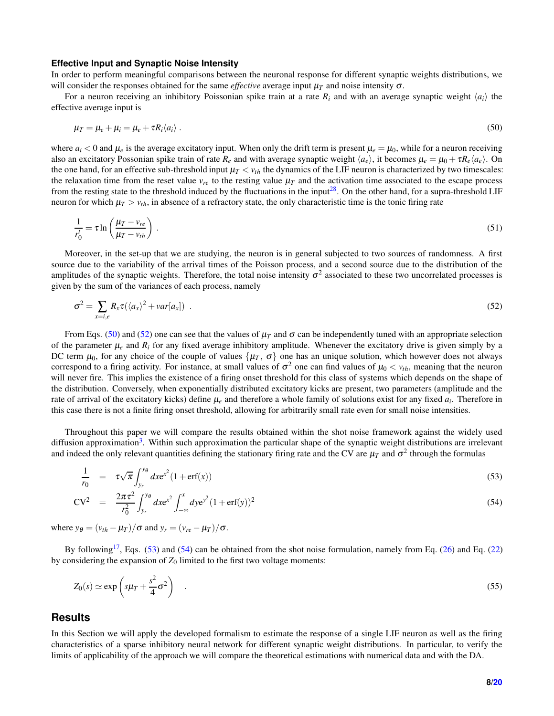#### **Effective Input and Synaptic Noise Intensity**

In order to perform meaningful comparisons between the neuronal response for different synaptic weights distributions, we will consider the responses obtained for the same *effective* average input  $\mu_{\tau}$  and noise intensity  $\sigma$ .

For a neuron receiving an inhibitory Poissonian spike train at a rate  $R_i$  and with an average synaptic weight  $\langle a_i \rangle$  the effective average input is

<span id="page-7-0"></span>
$$
\mu_T = \mu_e + \mu_i = \mu_e + \tau R_i \langle a_i \rangle \,. \tag{50}
$$

where  $a_i < 0$  and  $\mu_e$  is the average excitatory input. When only the drift term is present  $\mu_e = \mu_0$ , while for a neuron receiving also an excitatory Possonian spike train of rate  $R_e$  and with average synaptic weight  $\langle a_e \rangle$ , it becomes  $\mu_e = \mu_0 + \tau R_e \langle a_e \rangle$ . On the one hand, for an effective sub-threshold input  $\mu_T < v_{th}$  the dynamics of the LIF neuron is characterized by two timescales: the relaxation time from the reset value  $v_{re}$  to the resting value  $\mu_T$  and the activation time associated to the escape process from the resting state to the threshold induced by the fluctuations in the input<sup>[28](#page-17-2)</sup>. On the other hand, for a supra-threshold LIF neuron for which  $\mu_T > v_{th}$ , in absence of a refractory state, the only characteristic time is the tonic firing rate

<span id="page-7-3"></span>
$$
\frac{1}{r_0'} = \tau \ln \left( \frac{\mu_T - v_{re}}{\mu_T - v_{th}} \right) \tag{51}
$$

Moreover, in the set-up that we are studying, the neuron is in general subjected to two sources of randomness. A first source due to the variability of the arrival times of the Poisson process, and a second source due to the distribution of the amplitudes of the synaptic weights. Therefore, the total noise intensity  $\sigma^2$  associated to these two uncorrelated processes is given by the sum of the variances of each process, namely

<span id="page-7-1"></span>
$$
\sigma^2 = \sum_{x=i,e} R_x \tau (\langle a_x \rangle^2 + var[a_x]) \tag{52}
$$

From Eqs. [\(50\)](#page-7-0) and [\(52\)](#page-7-1) one can see that the values of  $\mu$ <sup>T</sup> and  $\sigma$  can be independently tuned with an appropriate selection of the parameter  $\mu_e$  and  $R_i$  for any fixed average inhibitory amplitude. Whenever the excitatory drive is given simply by a DC term  $\mu_0$ , for any choice of the couple of values  $\{\mu_T, \sigma\}$  one has an unique solution, which however does not always correspond to a firing activity. For instance, at small values of  $\sigma^2$  one can find values of  $\mu_0 < v_{th}$ , meaning that the neuron will never fire. This implies the existence of a firing onset threshold for this class of systems which depends on the shape of the distribution. Conversely, when exponentially distributed excitatory kicks are present, two parameters (amplitude and the rate of arrival of the excitatory kicks) define <sup>µ</sup>*<sup>e</sup>* and therefore a whole family of solutions exist for any fixed *a<sup>i</sup>* . Therefore in this case there is not a finite firing onset threshold, allowing for arbitrarily small rate even for small noise intensities.

Throughout this paper we will compare the results obtained within the shot noise framework against the widely used diffusion approximation<sup>[3](#page-16-2)</sup>. Within such approximation the particular shape of the synaptic weight distributions are irrelevant and indeed the only relevant quantities defining the stationary firing rate and the CV are  $\mu_T$  and  $\sigma^2$  through the formulas

<span id="page-7-2"></span>
$$
\frac{1}{r_0} = \tau \sqrt{\pi} \int_{y_r}^{y_\theta} dx e^{x^2} (1 + \text{erf}(x)) \tag{53}
$$

$$
CV^{2} = \frac{2\pi\tau^{2}}{r_{0}^{2}} \int_{y_{r}}^{y_{\theta}} dx e^{x^{2}} \int_{-\infty}^{x} dy e^{y^{2}} (1 + erf(y))^{2}
$$
\n(54)

where  $y_{\theta} = (v_{th} - \mu_T)/\sigma$  and  $y_r = (v_{re} - \mu_T)/\sigma$ .

By following<sup>[17](#page-16-12)</sup>, Eqs. [\(53\)](#page-7-2) and [\(54\)](#page-7-2) can be obtained from the shot noise formulation, namely from Eq. [\(26\)](#page-4-1) and Eq. [\(22\)](#page-4-2) by considering the expansion of  $Z_0$  limited to the first two voltage moments:

$$
Z_0(s) \simeq \exp\left(s\mu + \frac{s^2}{4}\sigma^2\right) \tag{55}
$$

## **Results**

In this Section we will apply the developed formalism to estimate the response of a single LIF neuron as well as the firing characteristics of a sparse inhibitory neural network for different synaptic weight distributions. In particular, to verify the limits of applicability of the approach we will compare the theoretical estimations with numerical data and with the DA.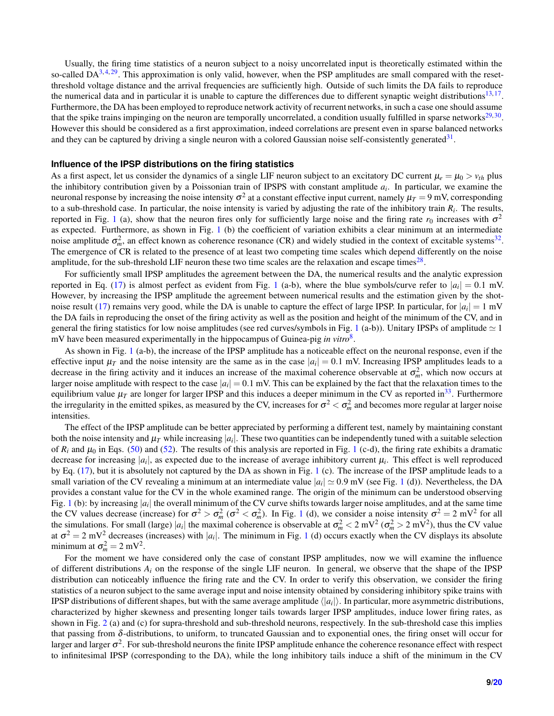Usually, the firing time statistics of a neuron subject to a noisy uncorrelated input is theoretically estimated within the so-called  $DA^{3,4,29}$  $DA^{3,4,29}$  $DA^{3,4,29}$  $DA^{3,4,29}$  $DA^{3,4,29}$ . This approximation is only valid, however, when the PSP amplitudes are small compared with the resetthreshold voltage distance and the arrival frequencies are sufficiently high. Outside of such limits the DA fails to reproduce the numerical data and in particular it is unable to capture the differences due to different synaptic weight distributions  $13, 17$  $13, 17$  $13, 17$ . Furthermore, the DA has been employed to reproduce network activity of recurrent networks, in such a case one should assume that the spike trains impinging on the neuron are temporally uncorrelated, a condition usually fulfilled in sparse networks<sup>[29,](#page-17-4)[30](#page-17-5)</sup>. However this should be considered as a first approximation, indeed correlations are present even in sparse balanced networks and they can be captured by driving a single neuron with a colored Gaussian noise self-consistently generated $31$ .

#### **Influence of the IPSP distributions on the firing statistics**

As a first aspect, let us consider the dynamics of a single LIF neuron subject to an excitatory DC current  $\mu_e = \mu_0 > v_{th}$  plus the inhibitory contribution given by a Poissonian train of IPSPS with constant amplitude *a<sup>i</sup>* . In particular, we examine the neuronal response by increasing the noise intensity  $\sigma^2$  at a constant effective input current, namely  $\mu_T=$  9 mV, corresponding to a sub-threshold case. In particular, the noise intensity is varied by adjusting the rate of the inhibitory train *R<sup>i</sup>* . The results, reported in Fig. [1](#page-9-0) (a), show that the neuron fires only for sufficiently large noise and the firing rate  $r_0$  increases with  $\sigma^2$ as expected. Furthermore, as shown in Fig. [1](#page-9-0) (b) the coefficient of variation exhibits a clear minimum at an intermediate noise amplitude  $\sigma_m^2$ , an effect known as coherence resonance (CR) and widely studied in the context of excitable systems<sup>[32](#page-17-7)</sup>. The emergence of CR is related to the presence of at least two competing time scales which depend differently on the noise amplitude, for the sub-threshold LIF neuron these two time scales are the relaxation and escape times $^{28}$  $^{28}$  $^{28}$ .

For sufficiently small IPSP amplitudes the agreement between the DA, the numerical results and the analytic expression reported in Eq. [\(17\)](#page-3-4) is almost perfect as evident from Fig. [1](#page-9-0) (a-b), where the blue symbols/curve refer to  $|a_i| = 0.1$  mV. However, by increasing the IPSP amplitude the agreement between numerical results and the estimation given by the shot-noise result [\(17\)](#page-3-4) remains very good, while the DA is unable to capture the effect of large IPSP. In particular, for  $|a_i| = 1$  mV the DA fails in reproducing the onset of the firing activity as well as the position and height of the minimum of the CV, and in general the firing statistics for low noise amplitudes (see red curves/symbols in Fig. [1](#page-9-0) (a-b)). Unitary IPSPs of amplitude  $\simeq 1$ mV have been measured experimentally in the hippocampus of Guinea-pig *in vitro*[8](#page-16-21) .

As shown in Fig. [1](#page-9-0) (a-b), the increase of the IPSP amplitude has a noticeable effect on the neuronal response, even if the effective input  $\mu_T$  and the noise intensity are the same as in the case  $|a_i| = 0.1$  mV. Increasing IPSP amplitudes leads to a decrease in the firing activity and it induces an increase of the maximal coherence observable at  $\sigma_m^2$ , which now occurs at larger noise amplitude with respect to the case  $|a_i| = 0.1$  mV. This can be explained by the fact that the relaxation times to the equilibrium value  $\mu_T$  are longer for larger IPSP and this induces a deeper minimum in the CV as reported in<sup>[33](#page-17-8)</sup>. Furthermore the irregularity in the emitted spikes, as measured by the CV, increases for  $\sigma^2 < \sigma_m^2$  and becomes more regular at larger noise intensities.

The effect of the IPSP amplitude can be better appreciated by performing a different test, namely by maintaining constant both the noise intensity and  $\mu_T$  while increasing  $|a_i|$ . These two quantities can be independently tuned with a suitable selection of  $R_i$  and  $\mu_0$  in Eqs. [\(50\)](#page-7-0) and [\(52\)](#page-7-1). The results of this analysis are reported in Fig. [1](#page-9-0) (c-d), the firing rate exhibits a dramatic decrease for increasing  $|a_i|$ , as expected due to the increase of average inhibitory current  $\mu_i$ . This effect is well reproduced by Eq. [\(17\)](#page-3-4), but it is absolutely not captured by the DA as shown in Fig. [1](#page-9-0) (c). The increase of the IPSP amplitude leads to a small variation of the CV revealing a minimum at an intermediate value  $|a_i| \approx 0.9$  mV (see Fig. [1](#page-9-0) (d)). Nevertheless, the DA provides a constant value for the CV in the whole examined range. The origin of the minimum can be understood observing Fig. [1](#page-9-0) (b): by increasing  $|a_i|$  the overall minimum of the CV curve shifts towards larger noise amplitudes, and at the same time the CV values decrease (increase) for  $\sigma^2 > \sigma_m^2$  ( $\sigma^2 < \sigma_m^2$ ). In Fig. [1](#page-9-0) (d), we consider a noise intensity  $\sigma^2 = 2$  mV<sup>2</sup> for all the simulations. For small (large)  $|a_i|$  the maximal coherence is observable at  $\sigma_m^2 < 2$  mV<sup>2</sup> ( $\sigma_m^2 > 2$  mV<sup>2</sup>), thus the CV value at  $\sigma^2 = 2$  mV<sup>2</sup> decreases (increases) with |a<sub>i</sub>|. The minimum in Fig. [1](#page-9-0) (d) occurs exactly when the CV displays its absolute minimum at  $\sigma_m^2 = 2 \text{ mV}^2$ .

For the moment we have considered only the case of constant IPSP amplitudes, now we will examine the influence of different distributions  $A_i$  on the response of the single LIF neuron. In general, we observe that the shape of the IPSP distribution can noticeably influence the firing rate and the CV. In order to verify this observation, we consider the firing statistics of a neuron subject to the same average input and noise intensity obtained by considering inhibitory spike trains with IPSP distributions of different shapes, but with the same average amplitude  $\langle |a_i| \rangle$ . In particular, more asymmetric distributions, characterized by higher skewness and presenting longer tails towards larger IPSP amplitudes, induce lower firing rates, as shown in Fig. [2](#page-10-0) (a) and (c) for supra-threshold and sub-threshold neurons, respectively. In the sub-threshold case this implies that passing from δ-distributions, to uniform, to truncated Gaussian and to exponential ones, the firing onset will occur for larger and larger  $\sigma^2$ . For sub-threshold neurons the finite IPSP amplitude enhance the coherence resonance effect with respect to infinitesimal IPSP (corresponding to the DA), while the long inhibitory tails induce a shift of the minimum in the CV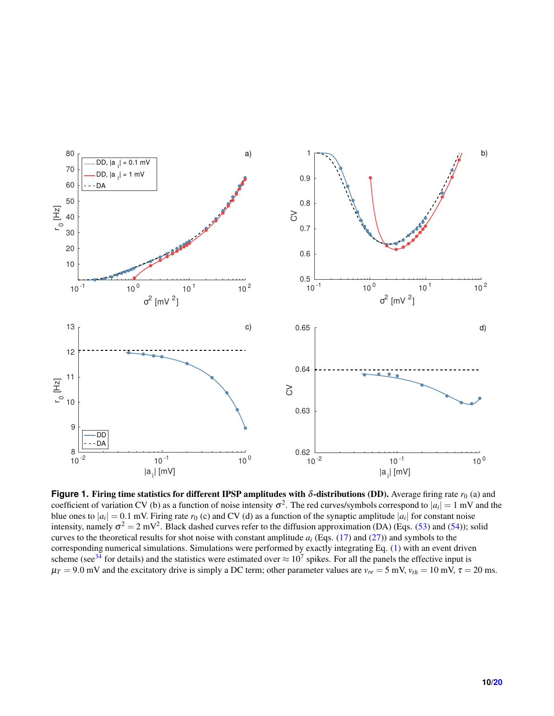<span id="page-9-0"></span>

**Figure 1.** Firing time statistics for different IPSP amplitudes with  $\delta$ -distributions (DD). Average firing rate  $r_0$  (a) and coefficient of variation CV (b) as a function of noise intensity  $\sigma^2$ . The red curves/symbols correspond to  $|a_i| = 1$  mV and the blue ones to  $|a_i| = 0.1$  mV. Firing rate  $r_0$  (c) and CV (d) as a function of the synaptic amplitude  $|a_i|$  for constant noise intensity, namely  $\sigma^2 = 2$  mV<sup>2</sup>. Black dashed curves refer to the diffusion approximation (DA) (Eqs. [\(53\)](#page-7-2) and [\(54\)](#page-7-2)); solid curves to the theoretical results for shot noise with constant amplitude  $a_i$  (Eqs. [\(17\)](#page-3-4) and [\(27\)](#page-4-3)) and symbols to the corresponding numerical simulations. Simulations were performed by exactly integrating Eq. [\(1\)](#page-1-0) with an event driven scheme (see<sup>[34](#page-17-9)</sup> for details) and the statistics were estimated over  $\approx 10^7$  spikes. For all the panels the effective input is  $\mu_T = 9.0$  mV and the excitatory drive is simply a DC term; other parameter values are  $v_{re} = 5$  mV,  $v_{th} = 10$  mV,  $\tau = 20$  ms.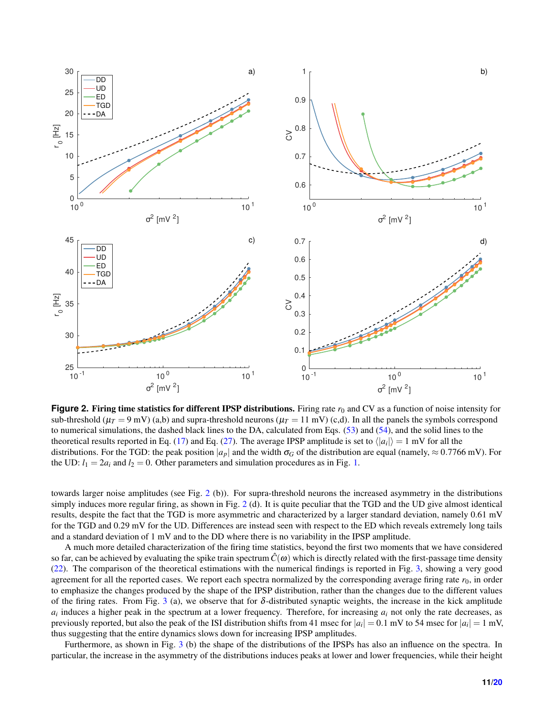<span id="page-10-0"></span>

**Figure 2. Firing time statistics for different IPSP distributions.** Firing rate  $r_0$  and CV as a function of noise intensity for sub-threshold ( $\mu_T = 9$  mV) (a,b) and supra-threshold neurons ( $\mu_T = 11$  mV) (c,d). In all the panels the symbols correspond to numerical simulations, the dashed black lines to the DA, calculated from Eqs. [\(53\)](#page-7-2) and [\(54\)](#page-7-2), and the solid lines to the theoretical results reported in Eq. [\(17\)](#page-3-4) and Eq. [\(27\)](#page-4-3). The average IPSP amplitude is set to  $\langle |a_i| \rangle = 1$  mV for all the distributions. For the TGD: the peak position  $|a_p|$  and the width  $\sigma_G$  of the distribution are equal (namely,  $\approx 0.7766$  mV). For the UD:  $l_1 = 2a_i$  and  $l_2 = 0$ . Other parameters and simulation procedures as in Fig. [1.](#page-9-0)

towards larger noise amplitudes (see Fig. [2](#page-10-0) (b)). For supra-threshold neurons the increased asymmetry in the distributions simply induces more regular firing, as shown in Fig. [2](#page-10-0) (d). It is quite peculiar that the TGD and the UD give almost identical results, despite the fact that the TGD is more asymmetric and characterized by a larger standard deviation, namely 0.61 mV for the TGD and 0.29 mV for the UD. Differences are instead seen with respect to the ED which reveals extremely long tails and a standard deviation of 1 mV and to the DD where there is no variability in the IPSP amplitude.

A much more detailed characterization of the firing time statistics, beyond the first two moments that we have considered so far, can be achieved by evaluating the spike train spectrum  $\hat{C}(\omega)$  which is directly related with the first-passage time density [\(22\)](#page-4-2). The comparison of the theoretical estimations with the numerical findings is reported in Fig. [3,](#page-11-0) showing a very good agreement for all the reported cases. We report each spectra normalized by the corresponding average firing rate  $r_0$ , in order to emphasize the changes produced by the shape of the IPSP distribution, rather than the changes due to the different values of the firing rates. From Fig. [3](#page-11-0) (a), we observe that for δ-distributed synaptic weights, the increase in the kick amplitude  $a_i$  induces a higher peak in the spectrum at a lower frequency. Therefore, for increasing  $a_i$  not only the rate decreases, as previously reported, but also the peak of the ISI distribution shifts from 41 msec for  $|a_i| = 0.1$  mV to 54 msec for  $|a_i| = 1$  mV, thus suggesting that the entire dynamics slows down for increasing IPSP amplitudes.

Furthermore, as shown in Fig. [3](#page-11-0) (b) the shape of the distributions of the IPSPs has also an influence on the spectra. In particular, the increase in the asymmetry of the distributions induces peaks at lower and lower frequencies, while their height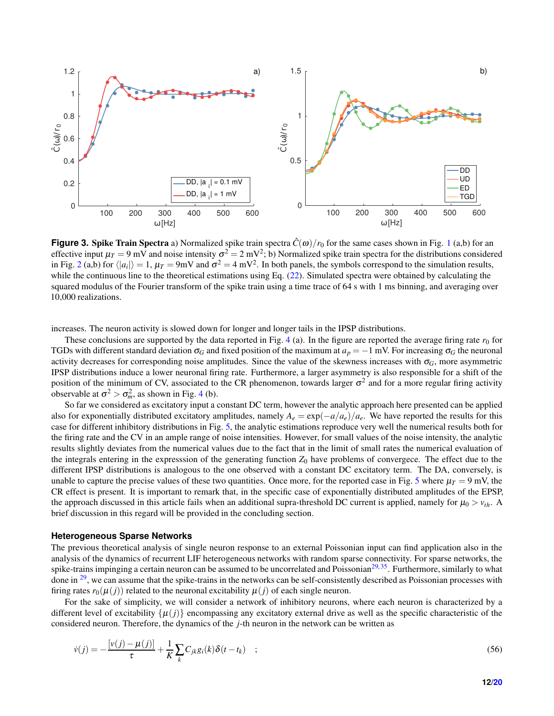<span id="page-11-0"></span>

**Figure 3. Spike Train Spectra** a) Normalized spike train spectra  $\hat{C}(\omega)/r_0$  for the same cases shown in Fig. [1](#page-9-0) (a,b) for an effective input  $\mu_T = 9$  mV and noise intensity  $\sigma^2 = 2$  mV<sup>2</sup>; b) Normalized spike train spectra for the distributions considered in Fig. [2](#page-10-0) (a,b) for  $\langle |a_i| \rangle = 1$ ,  $\mu = 9$ mV and  $\sigma^2 = 4$  mV<sup>2</sup>. In both panels, the symbols correspond to the simulation results, while the continuous line to the theoretical estimations using Eq. [\(22\)](#page-4-2). Simulated spectra were obtained by calculating the squared modulus of the Fourier transform of the spike train using a time trace of 64 s with 1 ms binning, and averaging over 10,000 realizations.

increases. The neuron activity is slowed down for longer and longer tails in the IPSP distributions.

These conclusions are supported by the data reported in Fig.  $4$  (a). In the figure are reported the average firing rate  $r_0$  for TGDs with different standard deviation  $\sigma_G$  and fixed position of the maximum at  $a_p = -1$  mV. For increasing  $\sigma_G$  the neuronal activity decreases for corresponding noise amplitudes. Since the value of the skewness increases with  $\sigma$ <sup>G</sup>, more asymmetric IPSP distributions induce a lower neuronal firing rate. Furthermore, a larger asymmetry is also responsible for a shift of the position of the minimum of CV, associated to the CR phenomenon, towards larger  $\sigma^2$  and for a more regular firing activity observable at  $\sigma^2 > \sigma_m^2$ , as shown in Fig. [4](#page-12-0) (b).

So far we considered as excitatory input a constant DC term, however the analytic approach here presented can be applied also for exponentially distributed excitatory amplitudes, namely  $A_e = \exp(-a/a_e)/a_e$ . We have reported the results for this case for different inhibitory distributions in Fig. [5,](#page-12-1) the analytic estimations reproduce very well the numerical results both for the firing rate and the CV in an ample range of noise intensities. However, for small values of the noise intensity, the analytic results slightly deviates from the numerical values due to the fact that in the limit of small rates the numerical evaluation of the integrals entering in the expresssion of the generating function  $Z_0$  have problems of convergece. The effect due to the different IPSP distributions is analogous to the one observed with a constant DC excitatory term. The DA, conversely, is unable to capture the precise values of these two quantities. Once more, for the reported case in Fig. [5](#page-12-1) where  $\mu_T = 9$  mV, the CR effect is present. It is important to remark that, in the specific case of exponentially distributed amplitudes of the EPSP, the approach discussed in this article fails when an additional supra-threshold DC current is applied, namely for  $\mu_0 > v_{th}$ . A brief discussion in this regard will be provided in the concluding section.

#### **Heterogeneous Sparse Networks**

The previous theoretical analysis of single neuron response to an external Poissonian input can find application also in the analysis of the dynamics of recurrent LIF heterogeneous networks with random sparse connectivity. For sparse networks, the spike-trains impinging a certain neuron can be assumed to be uncorrelated and Poissonian<sup>[29,](#page-17-4)[35](#page-17-10)</sup>. Furthermore, similarly to what done in  $29$ , we can assume that the spike-trains in the networks can be self-consistently described as Poissonian processes with firing rates  $r_0(\mu(j))$  related to the neuronal excitability  $\mu(j)$  of each single neuron.

For the sake of simplicity, we will consider a network of inhibitory neurons, where each neuron is characterized by a different level of excitability  $\{u(i)\}\$ encompassing any excitatory external drive as well as the specific characteristic of the considered neuron. Therefore, the dynamics of the *j*-th neuron in the network can be written as

$$
\dot{v}(j) = -\frac{[v(j) - \mu(j)]}{\tau} + \frac{1}{K} \sum_{k} C_{jk} g_i(k) \delta(t - t_k) \quad ; \tag{56}
$$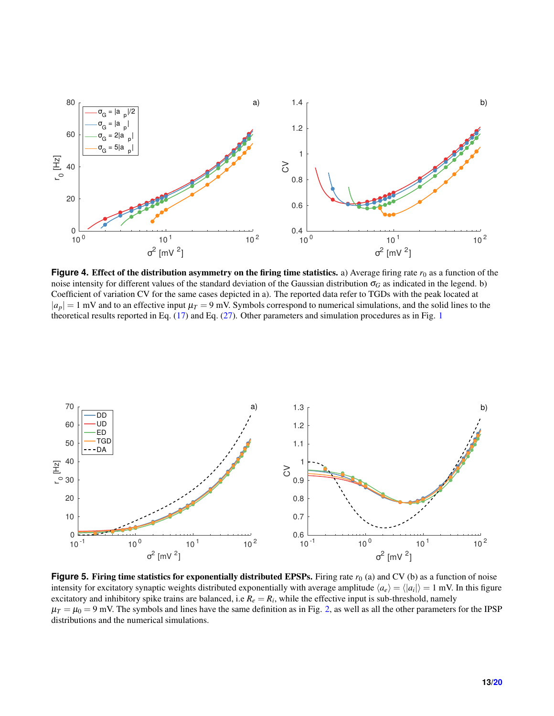<span id="page-12-0"></span>

**Figure 4.** Effect of the distribution asymmetry on the firing time statistics. a) Average firing rate  $r_0$  as a function of the noise intensity for different values of the standard deviation of the Gaussian distribution  $\sigma_G$  as indicated in the legend. b) Coefficient of variation CV for the same cases depicted in a). The reported data refer to TGDs with the peak located at  $|a_p| = 1$  mV and to an effective input  $\mu = 9$  mV. Symbols correspond to numerical simulations, and the solid lines to the theoretical results reported in Eq. [\(17\)](#page-3-4) and Eq. [\(27\)](#page-4-3). Other parameters and simulation procedures as in Fig. [1](#page-9-0)

<span id="page-12-1"></span>

**Figure 5.** Firing time statistics for exponentially distributed EPSPs. Firing rate  $r_0$  (a) and CV (b) as a function of noise intensity for excitatory synaptic weights distributed exponentially with average amplitude  $\langle a_e \rangle = \langle |a_i| \rangle = 1$  mV. In this figure excitatory and inhibitory spike trains are balanced, i.e  $R_e = R_i$ , while the effective input is sub-threshold, namely  $\mu_T = \mu_0 = 9$  mV. The symbols and lines have the same definition as in Fig. [2,](#page-10-0) as well as all the other parameters for the IPSP distributions and the numerical simulations.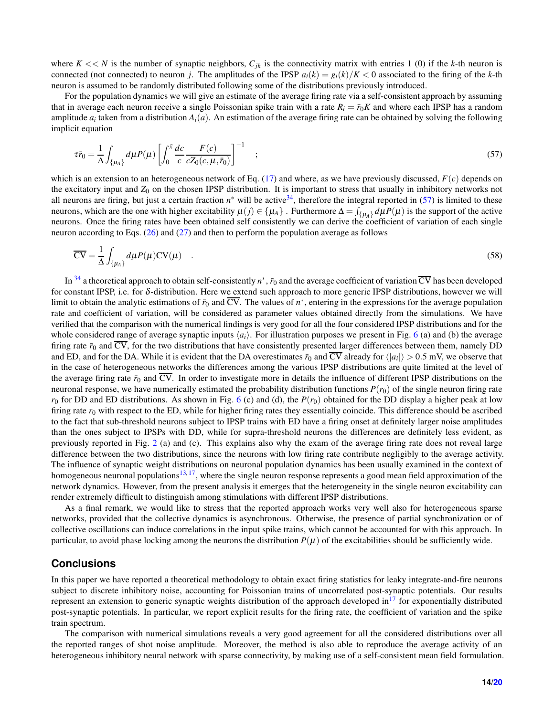where  $K \ll N$  is the number of synaptic neighbors,  $C_{jk}$  is the connectivity matrix with entries 1 (0) if the *k*-th neuron is connected (not connected) to neuron *j*. The amplitudes of the IPSP  $a_i(k) = g_i(k)/K < 0$  associated to the firing of the *k*-th neuron is assumed to be randomly distributed following some of the distributions previously introduced.

For the population dynamics we will give an estimate of the average firing rate via a self-consistent approach by assuming that in average each neuron receive a single Poissonian spike train with a rate  $R_i = \bar{r}_0 K$  and where each IPSP has a random amplitude  $a_i$  taken from a distribution  $A_i(a)$ . An estimation of the average firing rate can be obtained by solving the following implicit equation

<span id="page-13-0"></span>
$$
\tau \bar{r}_0 = \frac{1}{\Delta} \int_{\{\mu_A\}} d\mu P(\mu) \left[ \int_0^{\bar{x}} \frac{dc}{c} \frac{F(c)}{cZ_0(c, \mu, \bar{r}_0)} \right]^{-1} \quad ; \tag{57}
$$

which is an extension to an heterogeneous network of Eq. [\(17\)](#page-3-4) and where, as we have previously discussed, *F*(*c*) depends on the excitatory input and  $Z_0$  on the chosen IPSP distribution. It is important to stress that usually in inhibitory networks not all neurons are firing, but just a certain fraction  $n^*$  will be active<sup>[34](#page-17-9)</sup>, therefore the integral reported in [\(57\)](#page-13-0) is limited to these neurons, which are the one with higher excitability  $\mu(j) \in {\{\mu_A\}}$ . Furthermore  $\Delta = \int_{\{\mu_A\}} d\mu P(\mu)$  is the support of the active neurons. Once the firing rates have been obtained self consistently we can derive the coefficient of variation of each single neuron according to Eqs. [\(26\)](#page-4-1) and [\(27\)](#page-4-3) and then to perform the population average as follows

<span id="page-13-1"></span>
$$
\overline{\text{CV}} = \frac{1}{\Delta} \int_{\{\mu_A\}} d\mu P(\mu) \text{CV}(\mu) \quad . \tag{58}
$$

In  $^{34}$  $^{34}$  $^{34}$  a theoretical approach to obtain self-consistently  $n^*$ ,  $\bar{r}_0$  and the average coefficient of variation  $\overline{\rm CV}$  has been developed for constant IPSP, i.e. for  $\delta$ -distribution. Here we extend such approach to more generic IPSP distributions, however we will limit to obtain the analytic estimations of  $\bar{r}_0$  and CV. The values of  $n^*$ , entering in the expressions for the average population rate and coefficient of variation, will be considered as parameter values obtained directly from the simulations. We have verified that the comparison with the numerical findings is very good for all the four considered IPSP distributions and for the whole considered range of average synaptic inputs  $\langle a_i \rangle$ . For illustration purposes we present in Fig. [6](#page-14-0) (a) and (b) the average firing rate  $\bar{r}_0$  and CV, for the two distributions that have consistently presented larger differences between them, namely DD and ED, and for the DA. While it is evident that the DA overestimates  $\bar{r}_0$  and CV already for  $\langle |a_i| \rangle > 0.5$  mV, we observe that in the case of heterogeneous networks the differences among the various IPSP distributions are quite limited at the level of the average firing rate  $\bar{r}_0$  and  $\overline{CV}$ . In order to investigate more in details the influence of different IPSP distributions on the neuronal response, we have numerically estimated the probability distribution functions  $P(r_0)$  of the single neuron firing rate  $r_0$  for DD and ED distributions. As shown in Fig. [6](#page-14-0) (c) and (d), the  $P(r_0)$  obtained for the DD display a higher peak at low firing rate  $r_0$  with respect to the ED, while for higher firing rates they essentially coincide. This difference should be ascribed to the fact that sub-threshold neurons subject to IPSP trains with ED have a firing onset at definitely larger noise amplitudes than the ones subject to IPSPs with DD, while for supra-threshold neurons the differences are definitely less evident, as previously reported in Fig. [2](#page-10-0) (a) and (c). This explains also why the exam of the average firing rate does not reveal large difference between the two distributions, since the neurons with low firing rate contribute negligibly to the average activity. The influence of synaptic weight distributions on neuronal population dynamics has been usually examined in the context of homogeneous neuronal populations<sup>[13,](#page-16-8)[17](#page-16-12)</sup>, where the single neuron response represents a good mean field approximation of the network dynamics. However, from the present analysis it emerges that the heterogeneity in the single neuron excitability can render extremely difficult to distinguish among stimulations with different IPSP distributions.

As a final remark, we would like to stress that the reported approach works very well also for heterogeneous sparse networks, provided that the collective dynamics is asynchronous. Otherwise, the presence of partial synchronization or of collective oscillations can induce correlations in the input spike trains, which cannot be accounted for with this approach. In particular, to avoid phase locking among the neurons the distribution  $P(\mu)$  of the excitabilities should be sufficiently wide.

## **Conclusions**

In this paper we have reported a theoretical methodology to obtain exact firing statistics for leaky integrate-and-fire neurons subject to discrete inhibitory noise, accounting for Poissonian trains of uncorrelated post-synaptic potentials. Our results represent an extension to generic synaptic weights distribution of the approach developed in<sup>[17](#page-16-12)</sup> for exponentially distributed post-synaptic potentials. In particular, we report explicit results for the firing rate, the coefficient of variation and the spike train spectrum.

The comparison with numerical simulations reveals a very good agreement for all the considered distributions over all the reported ranges of shot noise amplitude. Moreover, the method is also able to reproduce the average activity of an heterogeneous inhibitory neural network with sparse connectivity, by making use of a self-consistent mean field formulation.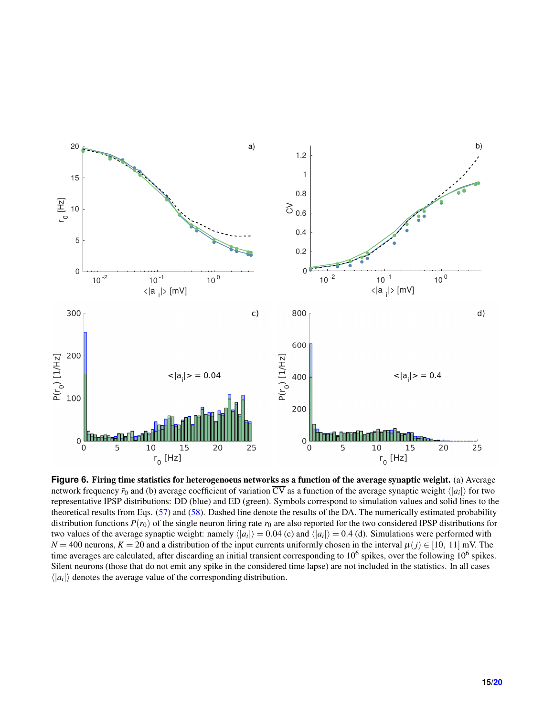<span id="page-14-0"></span>

**Figure 6.** Firing time statistics for heterogenoeus networks as a function of the average synaptic weight. (a) Average network frequency  $\bar{r}_0$  and (b) average coefficient of variation CV as a function of the average synaptic weight  $\langle |a_i| \rangle$  for two representative IPSP distributions: DD (blue) and ED (green). Symbols correspond to simulation values and solid lines to the theoretical results from Eqs. [\(57\)](#page-13-0) and [\(58\)](#page-13-1). Dashed line denote the results of the DA. The numerically estimated probability distribution functions  $P(r_0)$  of the single neuron firing rate  $r_0$  are also reported for the two considered IPSP distributions for two values of the average synaptic weight: namely  $\langle |a_i| \rangle = 0.04$  (c) and  $\langle |a_i| \rangle = 0.4$  (d). Simulations were performed with *N* = 400 neurons, *K* = 20 and a distribution of the input currents uniformly chosen in the interval  $\mu(j) \in [10, 11]$  mV. The time averages are calculated, after discarding an initial transient corresponding to  $10^6$  spikes, over the following  $10^6$  spikes. Silent neurons (those that do not emit any spike in the considered time lapse) are not included in the statistics. In all cases  $\langle |a_i| \rangle$  denotes the average value of the corresponding distribution.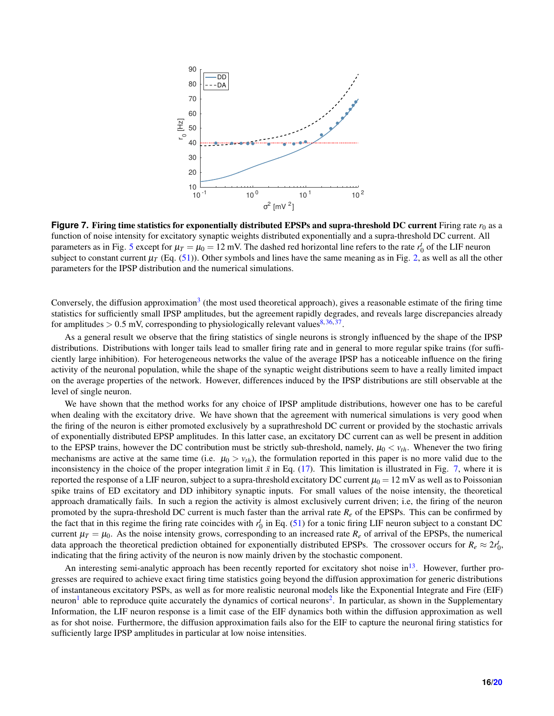<span id="page-15-0"></span>

**Figure 7.** Firing time statistics for exponentially distributed EPSPs and supra-threshold DC current Firing rate  $r_0$  as a function of noise intensity for excitatory synaptic weights distributed exponentially and a supra-threshold DC current. All parameters as in Fig. [5](#page-12-1) except for  $\mu_T = \mu_0 = 12$  mV. The dashed red horizontal line refers to the rate  $r_0^t$  of the LIF neuron subject to constant current  $\mu$ <sup>T</sup> (Eq. [\(51\)](#page-7-3)). Other symbols and lines have the same meaning as in Fig. [2,](#page-10-0) as well as all the other parameters for the IPSP distribution and the numerical simulations.

Conversely, the diffusion approximation<sup>[3](#page-16-2)</sup> (the most used theoretical approach), gives a reasonable estimate of the firing time statistics for sufficiently small IPSP amplitudes, but the agreement rapidly degrades, and reveals large discrepancies already for amplitudes  $> 0.5$  mV, corresponding to physiologically relevant values  $8,36,37$  $8,36,37$  $8,36,37$ .

As a general result we observe that the firing statistics of single neurons is strongly influenced by the shape of the IPSP distributions. Distributions with longer tails lead to smaller firing rate and in general to more regular spike trains (for sufficiently large inhibition). For heterogeneous networks the value of the average IPSP has a noticeable influence on the firing activity of the neuronal population, while the shape of the synaptic weight distributions seem to have a really limited impact on the average properties of the network. However, differences induced by the IPSP distributions are still observable at the level of single neuron.

We have shown that the method works for any choice of IPSP amplitude distributions, however one has to be careful when dealing with the excitatory drive. We have shown that the agreement with numerical simulations is very good when the firing of the neuron is either promoted exclusively by a suprathreshold DC current or provided by the stochastic arrivals of exponentially distributed EPSP amplitudes. In this latter case, an excitatory DC current can as well be present in addition to the EPSP trains, however the DC contribution must be strictly sub-threshold, namely,  $\mu_0 < v_{th}$ . Whenever the two firing mechanisms are active at the same time (i.e.  $\mu_0 > v_{th}$ ), the formulation reported in this paper is no more valid due to the inconsistency in the choice of the proper integration limit  $\bar{x}$  in Eq. [\(17\)](#page-3-4). This limitation is illustrated in Fig. [7,](#page-15-0) where it is reported the response of a LIF neuron, subject to a supra-threshold excitatory DC current  $\mu_0 = 12$  mV as well as to Poissonian spike trains of ED excitatory and DD inhibitory synaptic inputs. For small values of the noise intensity, the theoretical approach dramatically fails. In such a region the activity is almost exclusively current driven; i.e, the firing of the neuron promoted by the supra-threshold DC current is much faster than the arrival rate  $R_e$  of the EPSPs. This can be confirmed by the fact that in this regime the firing rate coincides with  $r_0^t$  in Eq. [\(51\)](#page-7-3) for a tonic firing LIF neuron subject to a constant DC current  $\mu_T = \mu_0$ . As the noise intensity grows, corresponding to an increased rate  $R_e$  of arrival of the EPSPs, the numerical data approach the theoretical prediction obtained for exponentially distributed EPSPs. The crossover occurs for  $R_e \approx 2r_0^t$ , indicating that the firing activity of the neuron is now mainly driven by the stochastic component.

An interesting semi-analytic approach has been recently reported for excitatory shot noise in $^{13}$  $^{13}$  $^{13}$ . However, further progresses are required to achieve exact firing time statistics going beyond the diffusion approximation for generic distributions of instantaneous excitatory PSPs, as well as for more realistic neuronal models like the Exponential Integrate and Fire (EIF) neuron<sup>[1](#page-18-0)</sup> able to reproduce quite accurately the dynamics of cortical neurons<sup>[2](#page-18-1)</sup>. In particular, as shown in the Supplementary Information, the LIF neuron response is a limit case of the EIF dynamics both within the diffusion approximation as well as for shot noise. Furthermore, the diffusion approximation fails also for the EIF to capture the neuronal firing statistics for sufficiently large IPSP amplitudes in particular at low noise intensities.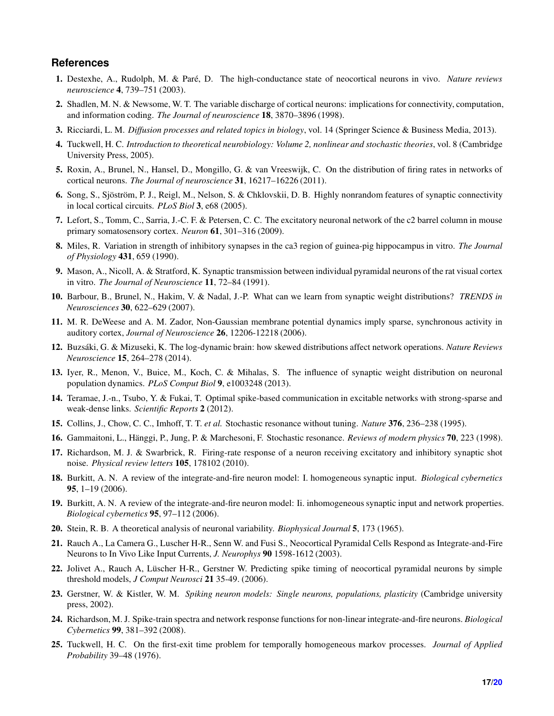## <span id="page-16-0"></span>**References**

- <span id="page-16-1"></span>1. Destexhe, A., Rudolph, M. & Par´e, D. The high-conductance state of neocortical neurons in vivo. *Nature reviews neuroscience* 4, 739–751 (2003).
- <span id="page-16-2"></span>2. Shadlen, M. N. & Newsome, W. T. The variable discharge of cortical neurons: implications for connectivity, computation, and information coding. *The Journal of neuroscience* 18, 3870–3896 (1998).
- <span id="page-16-3"></span>3. Ricciardi, L. M. *Diffusion processes and related topics in biology*, vol. 14 (Springer Science & Business Media, 2013).
- <span id="page-16-4"></span>4. Tuckwell, H. C. *Introduction to theoretical neurobiology: Volume 2, nonlinear and stochastic theories*, vol. 8 (Cambridge University Press, 2005).
- <span id="page-16-5"></span>5. Roxin, A., Brunel, N., Hansel, D., Mongillo, G. & van Vreeswijk, C. On the distribution of firing rates in networks of cortical neurons. *The Journal of neuroscience* 31, 16217–16226 (2011).
- <span id="page-16-6"></span>6. Song, S., Sjöström, P. J., Reigl, M., Nelson, S. & Chklovskii, D. B. Highly nonrandom features of synaptic connectivity in local cortical circuits. *PLoS Biol* 3, e68 (2005).
- <span id="page-16-21"></span>7. Lefort, S., Tomm, C., Sarria, J.-C. F. & Petersen, C. C. The excitatory neuronal network of the c2 barrel column in mouse primary somatosensory cortex. *Neuron* 61, 301–316 (2009).
- 8. Miles, R. Variation in strength of inhibitory synapses in the ca3 region of guinea-pig hippocampus in vitro. *The Journal of Physiology* 431, 659 (1990).
- 9. Mason, A., Nicoll, A. & Stratford, K. Synaptic transmission between individual pyramidal neurons of the rat visual cortex in vitro. *The Journal of Neuroscience* 11, 72–84 (1991).
- 10. Barbour, B., Brunel, N., Hakim, V. & Nadal, J.-P. What can we learn from synaptic weight distributions? *TRENDS in Neurosciences* 30, 622–629 (2007).
- <span id="page-16-7"></span>11. M. R. DeWeese and A. M. Zador, Non-Gaussian membrane potential dynamics imply sparse, synchronous activity in auditory cortex, *Journal of Neuroscience* 26, 12206-12218 (2006).
- <span id="page-16-8"></span>12. Buzs´aki, G. & Mizuseki, K. The log-dynamic brain: how skewed distributions affect network operations. *Nature Reviews Neuroscience* 15, 264–278 (2014).
- <span id="page-16-9"></span>13. Iyer, R., Menon, V., Buice, M., Koch, C. & Mihalas, S. The influence of synaptic weight distribution on neuronal population dynamics. *PLoS Comput Biol* 9, e1003248 (2013).
- <span id="page-16-10"></span>14. Teramae, J.-n., Tsubo, Y. & Fukai, T. Optimal spike-based communication in excitable networks with strong-sparse and weak-dense links. *Scientific Reports* 2 (2012).
- <span id="page-16-11"></span>15. Collins, J., Chow, C. C., Imhoff, T. T. *et al.* Stochastic resonance without tuning. *Nature* 376, 236–238 (1995).
- <span id="page-16-12"></span>16. Gammaitoni, L., Hänggi, P., Jung, P. & Marchesoni, F. Stochastic resonance. *Reviews of modern physics* 70, 223 (1998).
- <span id="page-16-13"></span>17. Richardson, M. J. & Swarbrick, R. Firing-rate response of a neuron receiving excitatory and inhibitory synaptic shot noise. *Physical review letters* 105, 178102 (2010).
- <span id="page-16-14"></span>18. Burkitt, A. N. A review of the integrate-and-fire neuron model: I. homogeneous synaptic input. *Biological cybernetics* 95, 1–19 (2006).
- <span id="page-16-15"></span>19. Burkitt, A. N. A review of the integrate-and-fire neuron model: Ii. inhomogeneous synaptic input and network properties. *Biological cybernetics* 95, 97–112 (2006).
- <span id="page-16-16"></span>20. Stein, R. B. A theoretical analysis of neuronal variability. *Biophysical Journal* 5, 173 (1965).
- <span id="page-16-17"></span>21. Rauch A., La Camera G., Luscher H-R., Senn W. and Fusi S., Neocortical Pyramidal Cells Respond as Integrate-and-Fire Neurons to In Vivo Like Input Currents, *J. Neurophys* 90 1598-1612 (2003).
- <span id="page-16-18"></span>22. Jolivet A., Rauch A, Lüscher H-R., Gerstner W. Predicting spike timing of neocortical pyramidal neurons by simple threshold models, *J Comput Neurosci* 21 35-49. (2006).
- <span id="page-16-19"></span>23. Gerstner, W. & Kistler, W. M. *Spiking neuron models: Single neurons, populations, plasticity* (Cambridge university press, 2002).
- <span id="page-16-20"></span>24. Richardson, M. J. Spike-train spectra and network response functions for non-linear integrate-and-fire neurons. *Biological Cybernetics* 99, 381–392 (2008).
- 25. Tuckwell, H. C. On the first-exit time problem for temporally homogeneous markov processes. *Journal of Applied Probability* 39–48 (1976).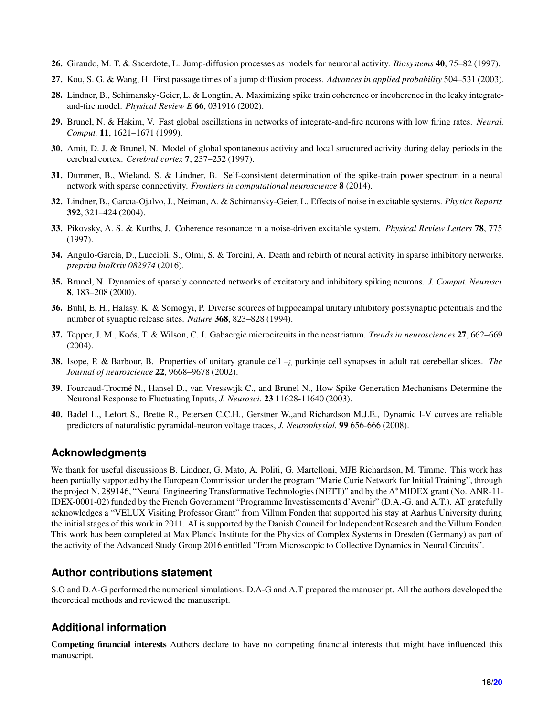- <span id="page-17-1"></span><span id="page-17-0"></span>26. Giraudo, M. T. & Sacerdote, L. Jump-diffusion processes as models for neuronal activity. *Biosystems* 40, 75–82 (1997).
- <span id="page-17-2"></span>27. Kou, S. G. & Wang, H. First passage times of a jump diffusion process. *Advances in applied probability* 504–531 (2003).
- <span id="page-17-4"></span>28. Lindner, B., Schimansky-Geier, L. & Longtin, A. Maximizing spike train coherence or incoherence in the leaky integrateand-fire model. *Physical Review E* 66, 031916 (2002).
- <span id="page-17-5"></span>29. Brunel, N. & Hakim, V. Fast global oscillations in networks of integrate-and-fire neurons with low firing rates. *Neural. Comput.* 11, 1621–1671 (1999).
- <span id="page-17-6"></span>30. Amit, D. J. & Brunel, N. Model of global spontaneous activity and local structured activity during delay periods in the cerebral cortex. *Cerebral cortex* 7, 237–252 (1997).
- <span id="page-17-7"></span>31. Dummer, B., Wieland, S. & Lindner, B. Self-consistent determination of the spike-train power spectrum in a neural network with sparse connectivity. *Frontiers in computational neuroscience* 8 (2014).
- <span id="page-17-8"></span>32. Lindner, B., Garcıa-Ojalvo, J., Neiman, A. & Schimansky-Geier, L. Effects of noise in excitable systems. *Physics Reports* 392, 321–424 (2004).
- <span id="page-17-9"></span>33. Pikovsky, A. S. & Kurths, J. Coherence resonance in a noise-driven excitable system. *Physical Review Letters* 78, 775 (1997).
- <span id="page-17-10"></span>34. Angulo-Garcia, D., Luccioli, S., Olmi, S. & Torcini, A. Death and rebirth of neural activity in sparse inhibitory networks. *preprint bioRxiv 082974* (2016).
- <span id="page-17-11"></span>35. Brunel, N. Dynamics of sparsely connected networks of excitatory and inhibitory spiking neurons. *J. Comput. Neurosci.* 8, 183–208 (2000).
- <span id="page-17-12"></span>36. Buhl, E. H., Halasy, K. & Somogyi, P. Diverse sources of hippocampal unitary inhibitory postsynaptic potentials and the number of synaptic release sites. *Nature* 368, 823–828 (1994).
- <span id="page-17-3"></span>37. Tepper, J. M., Koós, T. & Wilson, C. J. Gabaergic microcircuits in the neostriatum. *Trends in neurosciences* 27, 662–669 (2004).
- 38. Isope, P. & Barbour, B. Properties of unitary granule cell –¿ purkinje cell synapses in adult rat cerebellar slices. *The Journal of neuroscience* 22, 9668–9678 (2002).
- 39. Fourcaud-Trocmé N., Hansel D., van Vresswijk C., and Brunel N., How Spike Generation Mechanisms Determine the Neuronal Response to Fluctuating Inputs, *J. Neurosci.* 23 11628-11640 (2003).
- 40. Badel L., Lefort S., Brette R., Petersen C.C.H., Gerstner W.,and Richardson M.J.E., Dynamic I-V curves are reliable predictors of naturalistic pyramidal-neuron voltage traces, *J. Neurophysiol.* 99 656-666 (2008).

# **Acknowledgments**

We thank for useful discussions B. Lindner, G. Mato, A. Politi, G. Martelloni, MJE Richardson, M. Timme. This work has been partially supported by the European Commission under the program "Marie Curie Network for Initial Training", through the project N. 289146, "Neural Engineering Transformative Technologies (NETT)" and by the A∗MIDEX grant (No. ANR-11- IDEX-0001-02) funded by the French Government "Programme Investissements d'Avenir" (D.A.-G. and A.T.). AT gratefully acknowledges a "VELUX Visiting Professor Grant" from Villum Fonden that supported his stay at Aarhus University during the initial stages of this work in 2011. AI is supported by the Danish Council for Independent Research and the Villum Fonden. This work has been completed at Max Planck Institute for the Physics of Complex Systems in Dresden (Germany) as part of the activity of the Advanced Study Group 2016 entitled "From Microscopic to Collective Dynamics in Neural Circuits".

# **Author contributions statement**

S.O and D.A-G performed the numerical simulations. D.A-G and A.T prepared the manuscript. All the authors developed the theoretical methods and reviewed the manuscript.

# **Additional information**

Competing financial interests Authors declare to have no competing financial interests that might have influenced this manuscript.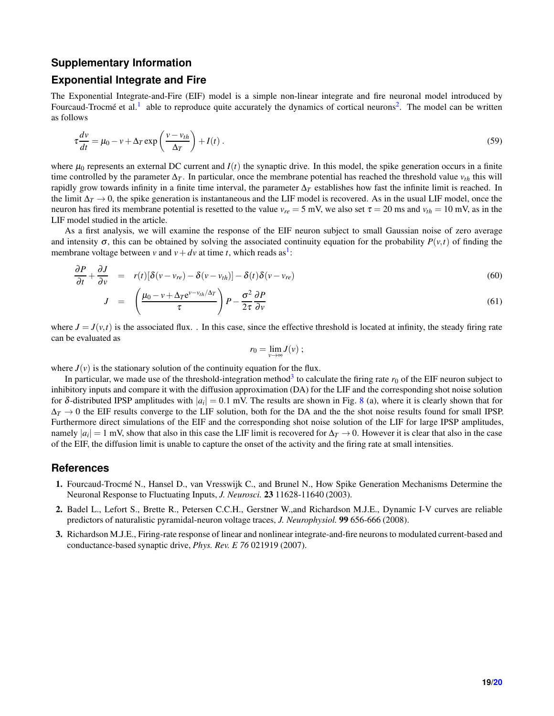## **Supplementary Information**

## **Exponential Integrate and Fire**

The Exponential Integrate-and-Fire (EIF) model is a simple non-linear integrate and fire neuronal model introduced by Fourcaud-Trocmé et al.<sup>[1](#page-18-0)</sup> able to reproduce quite accurately the dynamics of cortical neurons<sup>[2](#page-18-1)</sup>. The model can be written as follows

<span id="page-18-4"></span>
$$
\tau \frac{dv}{dt} = \mu_0 - v + \Delta_T \exp\left(\frac{v - v_{th}}{\Delta_T}\right) + I(t) \,. \tag{59}
$$

where  $\mu_0$  represents an external DC current and  $I(t)$  the synaptic drive. In this model, the spike generation occurs in a finite time controlled by the parameter  $\Delta_T$ . In particular, once the membrane potential has reached the threshold value  $v_{th}$  this will rapidly grow towards infinity in a finite time interval, the parameter ∆*<sup>T</sup>* establishes how fast the infinite limit is reached. In the limit  $\Delta_T \to 0$ , the spike generation is instantaneous and the LIF model is recovered. As in the usual LIF model, once the neuron has fired its membrane potential is resetted to the value  $v_{re} = 5$  mV, we also set  $\tau = 20$  ms and  $v_{th} = 10$  mV, as in the LIF model studied in the article.

As a first analysis, we will examine the response of the EIF neuron subject to small Gaussian noise of zero average and intensity  $\sigma$ , this can be obtained by solving the associated continuity equation for the probability  $P(v,t)$  of finding the membrane voltage between *v* and  $v + dv$  at time *t*, which reads as<sup>[1](#page-18-0)</sup>:

<span id="page-18-3"></span>
$$
\frac{\partial P}{\partial t} + \frac{\partial J}{\partial v} = r(t)[\delta(v - v_{re}) - \delta(v - v_{th})] - \delta(t)\delta(v - v_{re})
$$
\n(60)

$$
J = \left(\frac{\mu_0 - \nu + \Delta_T e^{\nu - \nu_{th}/\Delta_T}}{\tau}\right) P - \frac{\sigma^2}{2\tau} \frac{\partial P}{\partial \nu}
$$
(61)

where  $J = J(v, t)$  is the associated flux. . In this case, since the effective threshold is located at infinity, the steady firing rate can be evaluated as

$$
r_0=\lim_{\nu\to\infty}J(\nu)\ ;
$$

where  $J(v)$  is the stationary solution of the continuity equation for the flux.

In particular, we made use of the threshold-integration method<sup>[3](#page-18-2)</sup> to calculate the firing rate  $r_0$  of the EIF neuron subject to inhibitory inputs and compare it with the diffusion approximation (DA) for the LIF and the corresponding shot noise solution for  $\delta$ -distributed IPSP amplitudes with  $|a_i|=0.1$  mV. The results are shown in Fig. [8](#page-19-1) (a), where it is clearly shown that for  $\Delta_T \to 0$  the EIF results converge to the LIF solution, both for the DA and the the shot noise results found for small IPSP. Furthermore direct simulations of the EIF and the corresponding shot noise solution of the LIF for large IPSP amplitudes, namely  $|a_i| = 1$  mV, show that also in this case the LIF limit is recovered for  $\Delta_T \to 0$ . However it is clear that also in the case of the EIF, the diffusion limit is unable to capture the onset of the activity and the firing rate at small intensities.

## <span id="page-18-0"></span>**References**

- <span id="page-18-1"></span>1. Fourcaud-Trocm´e N., Hansel D., van Vresswijk C., and Brunel N., How Spike Generation Mechanisms Determine the Neuronal Response to Fluctuating Inputs, *J. Neurosci.* 23 11628-11640 (2003).
- <span id="page-18-2"></span>2. Badel L., Lefort S., Brette R., Petersen C.C.H., Gerstner W.,and Richardson M.J.E., Dynamic I-V curves are reliable predictors of naturalistic pyramidal-neuron voltage traces, *J. Neurophysiol.* 99 656-666 (2008).
- 3. Richardson M.J.E., Firing-rate response of linear and nonlinear integrate-and-fire neurons to modulated current-based and conductance-based synaptic drive, *Phys. Rev. E 76* 021919 (2007).